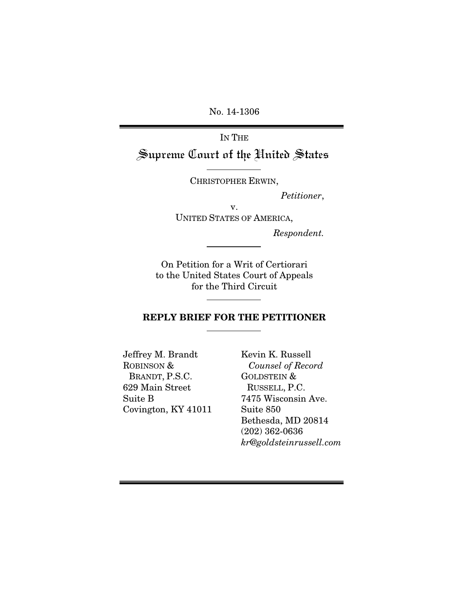No. 14-1306

IN THE Supreme Court of the United States

CHRISTOPHER ERWIN,

 *Petitioner*,

v. UNITED STATES OF AMERICA,

*Respondent.* 

On Petition for a Writ of Certiorari to the United States Court of Appeals for the Third Circuit

#### REPLY BRIEF FOR THE PETITIONER

Jeffrey M. Brandt ROBINSON & BRANDT, P.S.C. 629 Main Street Suite B Covington, KY 41011

Kevin K. Russell *Counsel of Record*  GOLDSTEIN & RUSSELL, P.C. 7475 Wisconsin Ave. Suite 850 Bethesda, MD 20814 (202) 362-0636 *kr@goldsteinrussell.com*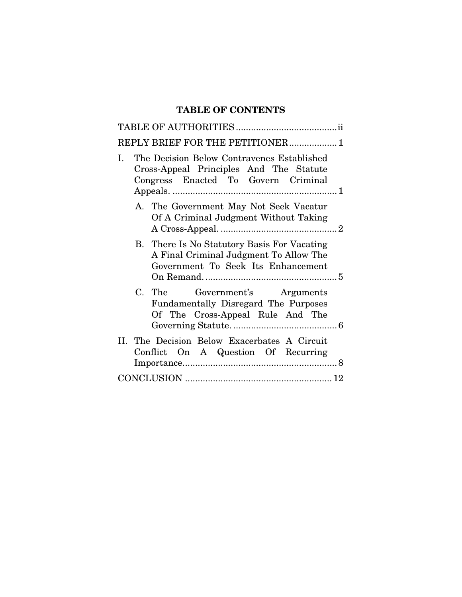# TABLE OF CONTENTS

| REPLY BRIEF FOR THE PETITIONER 1                                                                                                   |
|------------------------------------------------------------------------------------------------------------------------------------|
| The Decision Below Contravenes Established<br>I.<br>Cross-Appeal Principles And The Statute<br>Congress Enacted To Govern Criminal |
| A. The Government May Not Seek Vacatur<br>Of A Criminal Judgment Without Taking                                                    |
| B. There Is No Statutory Basis For Vacating<br>A Final Criminal Judgment To Allow The<br>Government To Seek Its Enhancement        |
| C. The<br>Government's Arguments<br>Fundamentally Disregard The Purposes<br>Of The Cross-Appeal Rule And The                       |
| II. The Decision Below Exacerbates A Circuit<br>Conflict On A Question Of Recurring                                                |
|                                                                                                                                    |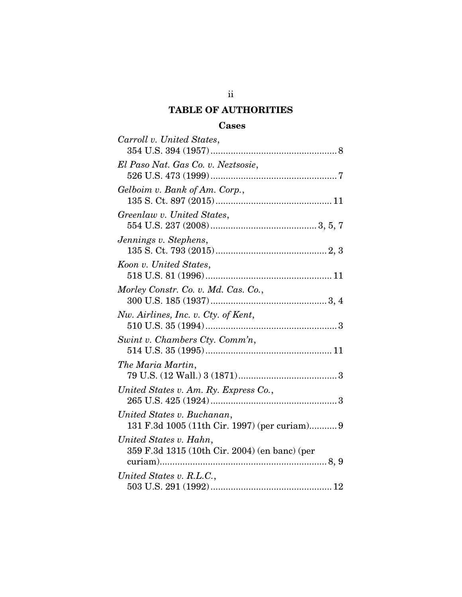# TABLE OF AUTHORITIES

## **Cases**

| Carroll v. United States,                                                   |
|-----------------------------------------------------------------------------|
|                                                                             |
| El Paso Nat. Gas Co. v. Neztsosie,                                          |
| Gelboim v. Bank of Am. Corp.,                                               |
| Greenlaw v. United States,                                                  |
| Jennings v. Stephens,                                                       |
| Koon v. United States,                                                      |
| Morley Constr. Co. v. Md. Cas. Co.,                                         |
| Nw. Airlines, Inc. v. Cty. of Kent,                                         |
| Swint v. Chambers Cty. Comm'n,                                              |
| The Maria Martin,                                                           |
| United States v. Am. Ry. Express Co.,                                       |
| United States v. Buchanan,<br>131 F.3d 1005 (11th Cir. 1997) (per curiam) 9 |
| United States v. Hahn,<br>359 F.3d 1315 (10th Cir. 2004) (en banc) (per     |
| United States v. R.L.C.,                                                    |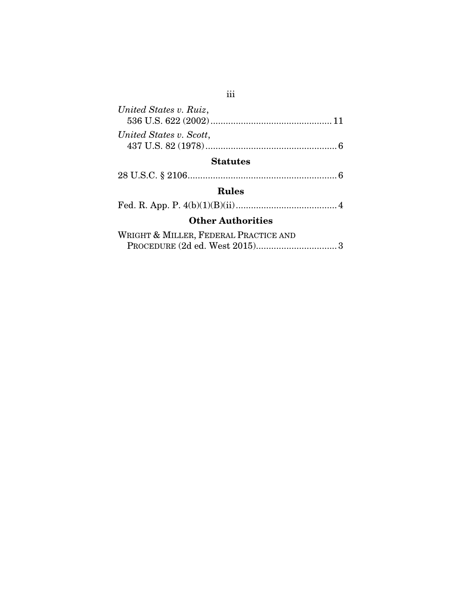| United States v. Ruiz,  |  |  |
|-------------------------|--|--|
| United States v. Scott, |  |  |
| <b>Statutes</b>         |  |  |

28 U.S.C. § 2106 ........................................................... 6

# Rules

|--|--|--|

# Other Authorities

| WRIGHT & MILLER, FEDERAL PRACTICE AND |  |
|---------------------------------------|--|
|                                       |  |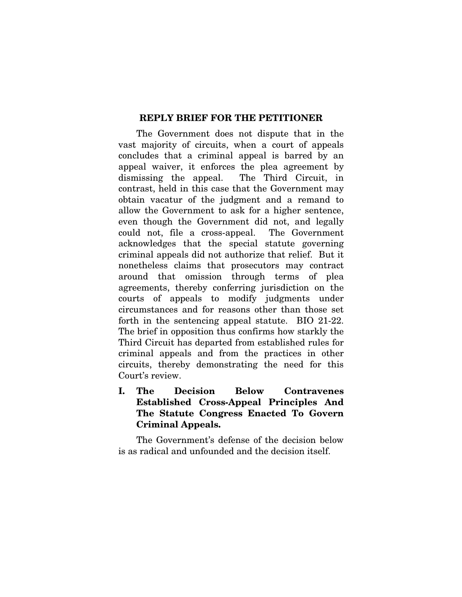#### REPLY BRIEF FOR THE PETITIONER

The Government does not dispute that in the vast majority of circuits, when a court of appeals concludes that a criminal appeal is barred by an appeal waiver, it enforces the plea agreement by dismissing the appeal. The Third Circuit, in contrast, held in this case that the Government may obtain vacatur of the judgment and a remand to allow the Government to ask for a higher sentence, even though the Government did not, and legally could not, file a cross-appeal. The Government acknowledges that the special statute governing criminal appeals did not authorize that relief. But it nonetheless claims that prosecutors may contract around that omission through terms of plea agreements, thereby conferring jurisdiction on the courts of appeals to modify judgments under circumstances and for reasons other than those set forth in the sentencing appeal statute. BIO 21-22. The brief in opposition thus confirms how starkly the Third Circuit has departed from established rules for criminal appeals and from the practices in other circuits, thereby demonstrating the need for this Court's review.

## I. The Decision Below Contravenes Established Cross-Appeal Principles And The Statute Congress Enacted To Govern Criminal Appeals.

The Government's defense of the decision below is as radical and unfounded and the decision itself.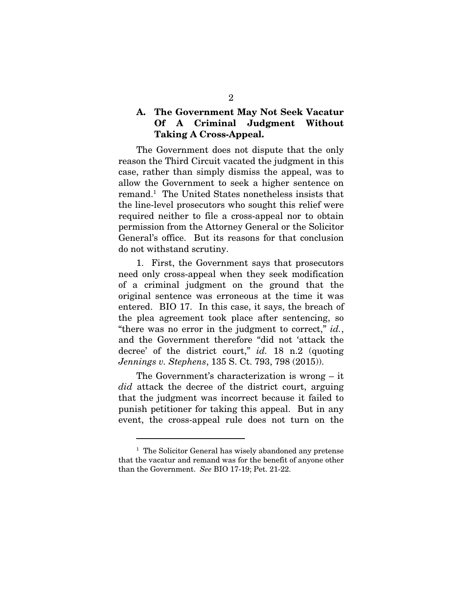#### A. The Government May Not Seek Vacatur Of A Criminal Judgment Without Taking A Cross-Appeal.

The Government does not dispute that the only reason the Third Circuit vacated the judgment in this case, rather than simply dismiss the appeal, was to allow the Government to seek a higher sentence on remand.1 The United States nonetheless insists that the line-level prosecutors who sought this relief were required neither to file a cross-appeal nor to obtain permission from the Attorney General or the Solicitor General's office. But its reasons for that conclusion do not withstand scrutiny.

1. First, the Government says that prosecutors need only cross-appeal when they seek modification of a criminal judgment on the ground that the original sentence was erroneous at the time it was entered. BIO 17. In this case, it says, the breach of the plea agreement took place after sentencing, so "there was no error in the judgment to correct," *id.*, and the Government therefore "did not 'attack the decree' of the district court," *id.* 18 n.2 (quoting *Jennings v. Stephens*, 135 S. Ct. 793, 798 (2015)).

The Government's characterization is wrong – it *did* attack the decree of the district court, arguing that the judgment was incorrect because it failed to punish petitioner for taking this appeal. But in any event, the cross-appeal rule does not turn on the

<sup>&</sup>lt;sup>1</sup> The Solicitor General has wisely abandoned any pretense that the vacatur and remand was for the benefit of anyone other than the Government. *See* BIO 17-19; Pet. 21-22.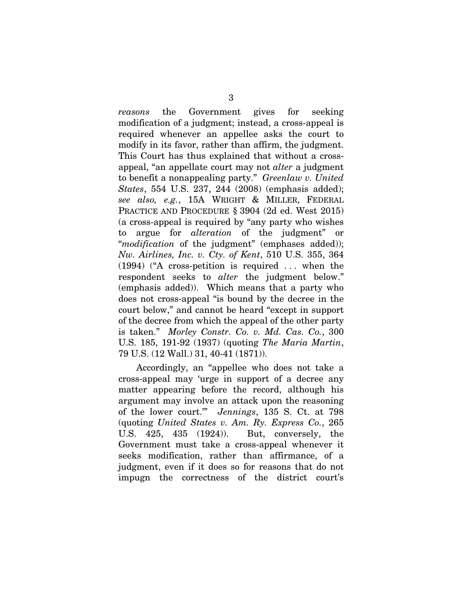*reasons* the Government gives for seeking modification of a judgment; instead, a cross-appeal is required whenever an appellee asks the court to modify in its favor, rather than affirm, the judgment. This Court has thus explained that without a crossappeal, "an appellate court may not *alter* a judgment to benefit a nonappealing party." *Greenlaw v. United States*, 554 U.S. 237, 244 (2008) (emphasis added); *see also, e.g.*, 15A WRIGHT & MILLER, FEDERAL PRACTICE AND PROCEDURE § 3904 (2d ed. West 2015) (a cross-appeal is required by "any party who wishes to argue for *alteration* of the judgment" or "*modification* of the judgment" (emphases added)); *Nw. Airlines, Inc. v. Cty. of Kent*, 510 U.S. 355, 364 (1994) ("A cross-petition is required . . . when the respondent seeks to *alter* the judgment below." (emphasis added)). Which means that a party who does not cross-appeal "is bound by the decree in the court below," and cannot be heard "except in support of the decree from which the appeal of the other party is taken." *Morley Constr. Co. v. Md. Cas. Co.*, 300 U.S. 185, 191-92 (1937) (quoting *The Maria Martin*, 79 U.S. (12 Wall.) 31, 40-41 (1871)).

Accordingly, an "appellee who does not take a cross-appeal may 'urge in support of a decree any matter appearing before the record, although his argument may involve an attack upon the reasoning of the lower court.'" *Jennings*, 135 S. Ct. at 798 (quoting *United States v. Am. Ry. Express Co.*, 265 U.S. 425, 435 (1924)). But, conversely, the Government must take a cross-appeal whenever it seeks modification, rather than affirmance, of a judgment, even if it does so for reasons that do not impugn the correctness of the district court's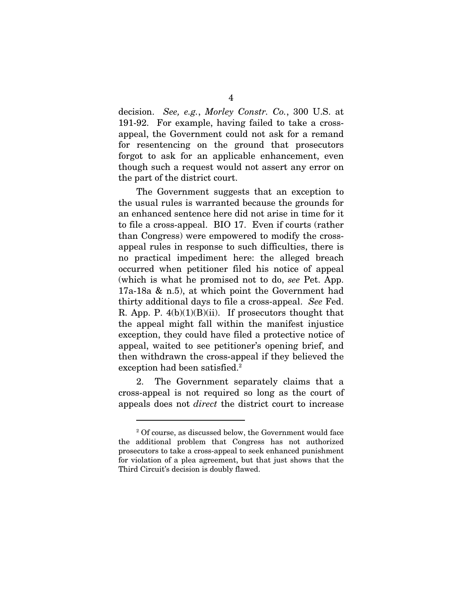decision. *See, e.g.*, *Morley Constr. Co.*, 300 U.S. at 191-92. For example, having failed to take a crossappeal, the Government could not ask for a remand for resentencing on the ground that prosecutors forgot to ask for an applicable enhancement, even though such a request would not assert any error on the part of the district court.

The Government suggests that an exception to the usual rules is warranted because the grounds for an enhanced sentence here did not arise in time for it to file a cross-appeal. BIO 17. Even if courts (rather than Congress) were empowered to modify the crossappeal rules in response to such difficulties, there is no practical impediment here: the alleged breach occurred when petitioner filed his notice of appeal (which is what he promised not to do, *see* Pet. App. 17a-18a & n.5), at which point the Government had thirty additional days to file a cross-appeal. *See* Fed. R. App. P.  $4(b)(1)(B)(ii)$ . If prosecutors thought that the appeal might fall within the manifest injustice exception, they could have filed a protective notice of appeal, waited to see petitioner's opening brief, and then withdrawn the cross-appeal if they believed the exception had been satisfied.<sup>2</sup>

2. The Government separately claims that a cross-appeal is not required so long as the court of appeals does not *direct* the district court to increase

<sup>&</sup>lt;sup>2</sup> Of course, as discussed below, the Government would face the additional problem that Congress has not authorized prosecutors to take a cross-appeal to seek enhanced punishment for violation of a plea agreement, but that just shows that the Third Circuit's decision is doubly flawed.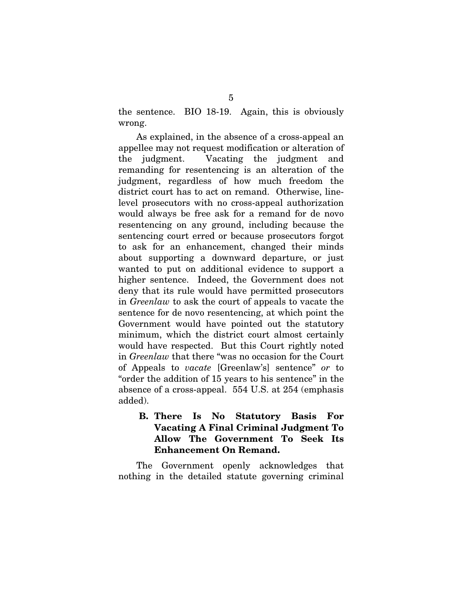the sentence. BIO 18-19. Again, this is obviously wrong.

As explained, in the absence of a cross-appeal an appellee may not request modification or alteration of the judgment. Vacating the judgment and remanding for resentencing is an alteration of the judgment, regardless of how much freedom the district court has to act on remand. Otherwise, linelevel prosecutors with no cross-appeal authorization would always be free ask for a remand for de novo resentencing on any ground, including because the sentencing court erred or because prosecutors forgot to ask for an enhancement, changed their minds about supporting a downward departure, or just wanted to put on additional evidence to support a higher sentence. Indeed, the Government does not deny that its rule would have permitted prosecutors in *Greenlaw* to ask the court of appeals to vacate the sentence for de novo resentencing, at which point the Government would have pointed out the statutory minimum, which the district court almost certainly would have respected. But this Court rightly noted in *Greenlaw* that there "was no occasion for the Court of Appeals to *vacate* [Greenlaw's] sentence" *or* to "order the addition of 15 years to his sentence" in the absence of a cross-appeal. 554 U.S. at 254 (emphasis added).

## B. There Is No Statutory Basis For Vacating A Final Criminal Judgment To Allow The Government To Seek Its Enhancement On Remand.

The Government openly acknowledges that nothing in the detailed statute governing criminal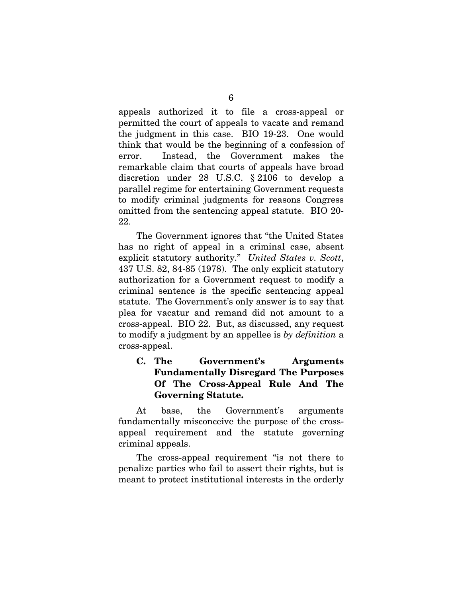appeals authorized it to file a cross-appeal or permitted the court of appeals to vacate and remand the judgment in this case. BIO 19-23. One would think that would be the beginning of a confession of error. Instead, the Government makes the remarkable claim that courts of appeals have broad discretion under 28 U.S.C. § 2106 to develop a parallel regime for entertaining Government requests to modify criminal judgments for reasons Congress omitted from the sentencing appeal statute. BIO 20- 22.

The Government ignores that "the United States has no right of appeal in a criminal case, absent explicit statutory authority." *United States v. Scott*, 437 U.S. 82, 84-85 (1978). The only explicit statutory authorization for a Government request to modify a criminal sentence is the specific sentencing appeal statute. The Government's only answer is to say that plea for vacatur and remand did not amount to a cross-appeal. BIO 22. But, as discussed, any request to modify a judgment by an appellee is *by definition* a cross-appeal.

#### C. The Government's Arguments Fundamentally Disregard The Purposes Of The Cross-Appeal Rule And The Governing Statute.

At base, the Government's arguments fundamentally misconceive the purpose of the crossappeal requirement and the statute governing criminal appeals.

The cross-appeal requirement "is not there to penalize parties who fail to assert their rights, but is meant to protect institutional interests in the orderly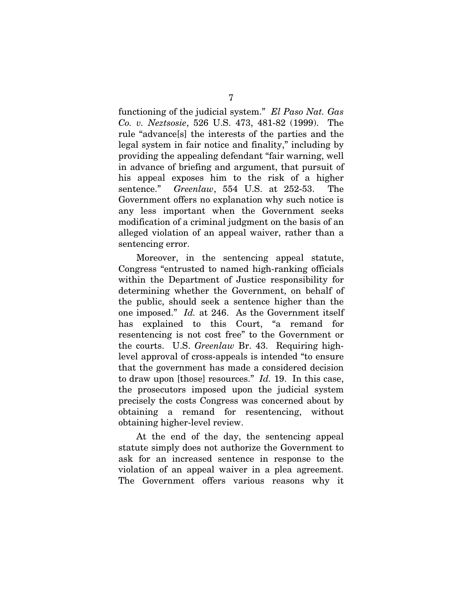functioning of the judicial system." *El Paso Nat. Gas Co. v. Neztsosie*, 526 U.S. 473, 481-82 (1999). The rule "advance[s] the interests of the parties and the legal system in fair notice and finality," including by providing the appealing defendant "fair warning, well in advance of briefing and argument, that pursuit of his appeal exposes him to the risk of a higher sentence." *Greenlaw*, 554 U.S. at 252-53. The Government offers no explanation why such notice is any less important when the Government seeks modification of a criminal judgment on the basis of an alleged violation of an appeal waiver, rather than a sentencing error.

Moreover, in the sentencing appeal statute, Congress "entrusted to named high-ranking officials within the Department of Justice responsibility for determining whether the Government, on behalf of the public, should seek a sentence higher than the one imposed." *Id.* at 246. As the Government itself has explained to this Court, "a remand for resentencing is not cost free" to the Government or the courts. U.S. *Greenlaw* Br. 43. Requiring highlevel approval of cross-appeals is intended "to ensure that the government has made a considered decision to draw upon [those] resources." *Id.* 19. In this case, the prosecutors imposed upon the judicial system precisely the costs Congress was concerned about by obtaining a remand for resentencing, without obtaining higher-level review.

At the end of the day, the sentencing appeal statute simply does not authorize the Government to ask for an increased sentence in response to the violation of an appeal waiver in a plea agreement. The Government offers various reasons why it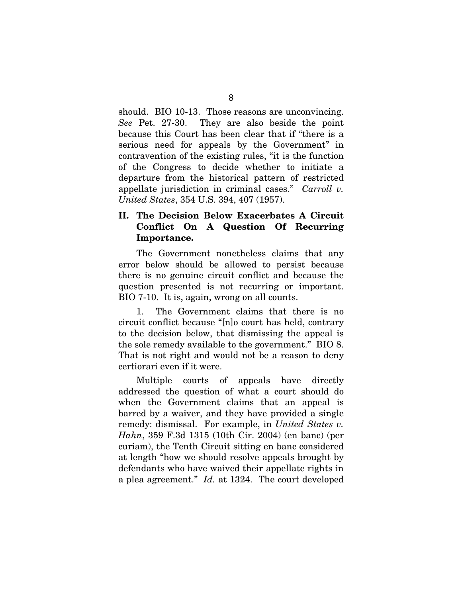should. BIO 10-13. Those reasons are unconvincing. *See* Pet. 27-30. They are also beside the point because this Court has been clear that if "there is a serious need for appeals by the Government" in contravention of the existing rules, "it is the function of the Congress to decide whether to initiate a departure from the historical pattern of restricted appellate jurisdiction in criminal cases." *Carroll v. United States*, 354 U.S. 394, 407 (1957).

### II. The Decision Below Exacerbates A Circuit Conflict On A Question Of Recurring Importance.

The Government nonetheless claims that any error below should be allowed to persist because there is no genuine circuit conflict and because the question presented is not recurring or important. BIO 7-10. It is, again, wrong on all counts.

1. The Government claims that there is no circuit conflict because "[n]o court has held, contrary to the decision below, that dismissing the appeal is the sole remedy available to the government." BIO 8. That is not right and would not be a reason to deny certiorari even if it were.

Multiple courts of appeals have directly addressed the question of what a court should do when the Government claims that an appeal is barred by a waiver, and they have provided a single remedy: dismissal. For example, in *United States v. Hahn*, 359 F.3d 1315 (10th Cir. 2004) (en banc) (per curiam), the Tenth Circuit sitting en banc considered at length "how we should resolve appeals brought by defendants who have waived their appellate rights in a plea agreement." *Id.* at 1324. The court developed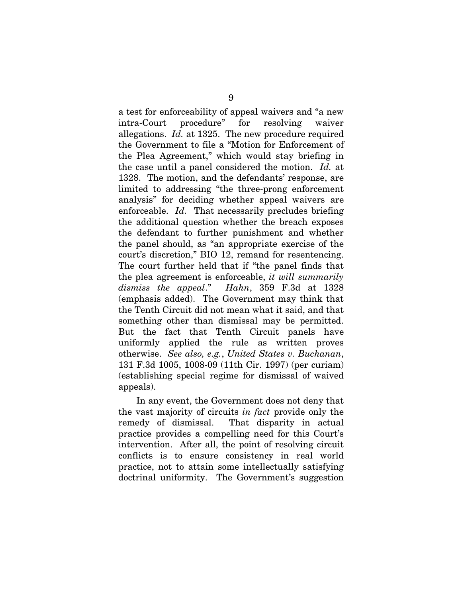a test for enforceability of appeal waivers and "a new intra-Court procedure" for resolving waiver allegations. *Id.* at 1325. The new procedure required the Government to file a "Motion for Enforcement of the Plea Agreement," which would stay briefing in the case until a panel considered the motion. *Id.* at 1328. The motion, and the defendants' response, are limited to addressing "the three-prong enforcement analysis" for deciding whether appeal waivers are enforceable. *Id.* That necessarily precludes briefing the additional question whether the breach exposes the defendant to further punishment and whether the panel should, as "an appropriate exercise of the court's discretion," BIO 12, remand for resentencing. The court further held that if "the panel finds that the plea agreement is enforceable, *it will summarily dismiss the appeal*." *Hahn*, 359 F.3d at 1328 (emphasis added). The Government may think that the Tenth Circuit did not mean what it said, and that something other than dismissal may be permitted. But the fact that Tenth Circuit panels have uniformly applied the rule as written proves otherwise. *See also, e.g.*, *United States v. Buchanan*, 131 F.3d 1005, 1008-09 (11th Cir. 1997) (per curiam) (establishing special regime for dismissal of waived appeals).

In any event, the Government does not deny that the vast majority of circuits *in fact* provide only the remedy of dismissal. That disparity in actual practice provides a compelling need for this Court's intervention. After all, the point of resolving circuit conflicts is to ensure consistency in real world practice, not to attain some intellectually satisfying doctrinal uniformity. The Government's suggestion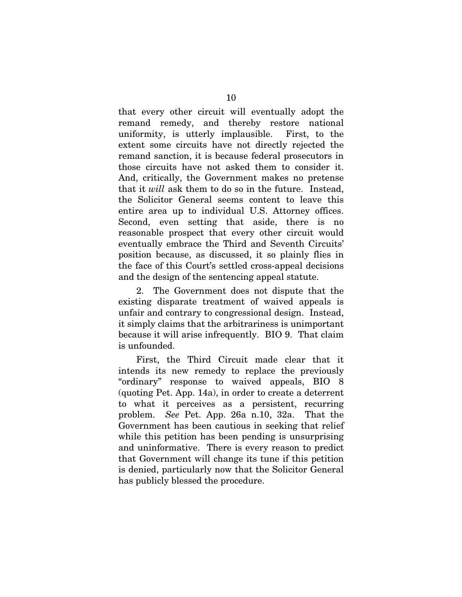that every other circuit will eventually adopt the remand remedy, and thereby restore national uniformity, is utterly implausible. First, to the extent some circuits have not directly rejected the remand sanction, it is because federal prosecutors in those circuits have not asked them to consider it. And, critically, the Government makes no pretense that it *will* ask them to do so in the future. Instead, the Solicitor General seems content to leave this entire area up to individual U.S. Attorney offices. Second, even setting that aside, there is no reasonable prospect that every other circuit would eventually embrace the Third and Seventh Circuits' position because, as discussed, it so plainly flies in the face of this Court's settled cross-appeal decisions and the design of the sentencing appeal statute.

2. The Government does not dispute that the existing disparate treatment of waived appeals is unfair and contrary to congressional design. Instead, it simply claims that the arbitrariness is unimportant because it will arise infrequently. BIO 9. That claim is unfounded.

First, the Third Circuit made clear that it intends its new remedy to replace the previously "ordinary" response to waived appeals, BIO 8 (quoting Pet. App. 14a), in order to create a deterrent to what it perceives as a persistent, recurring problem. *See* Pet. App. 26a n.10, 32a. That the Government has been cautious in seeking that relief while this petition has been pending is unsurprising and uninformative. There is every reason to predict that Government will change its tune if this petition is denied, particularly now that the Solicitor General has publicly blessed the procedure.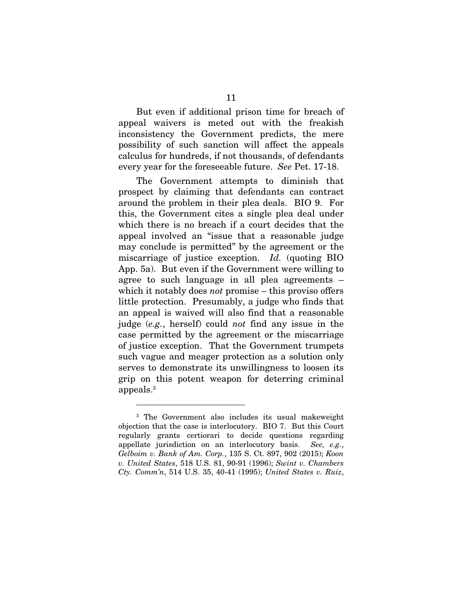But even if additional prison time for breach of appeal waivers is meted out with the freakish inconsistency the Government predicts, the mere possibility of such sanction will affect the appeals calculus for hundreds, if not thousands, of defendants every year for the foreseeable future. *See* Pet. 17-18.

The Government attempts to diminish that prospect by claiming that defendants can contract around the problem in their plea deals. BIO 9. For this, the Government cites a single plea deal under which there is no breach if a court decides that the appeal involved an "issue that a reasonable judge may conclude is permitted" by the agreement or the miscarriage of justice exception. *Id.* (quoting BIO App. 5a). But even if the Government were willing to agree to such language in all plea agreements – which it notably does *not* promise – this proviso offers little protection. Presumably, a judge who finds that an appeal is waived will also find that a reasonable judge (*e.g.*, herself) could *not* find any issue in the case permitted by the agreement or the miscarriage of justice exception. That the Government trumpets such vague and meager protection as a solution only serves to demonstrate its unwillingness to loosen its grip on this potent weapon for deterring criminal  $appeals.<sup>3</sup>$ 

<sup>3</sup> The Government also includes its usual makeweight objection that the case is interlocutory. BIO 7. But this Court regularly grants certiorari to decide questions regarding appellate jurisdiction on an interlocutory basis. *See, e.g.*, *Gelboim v. Bank of Am. Corp.*, 135 S. Ct. 897, 902 (2015); *Koon v. United States*, 518 U.S. 81, 90-91 (1996); *Swint v. Chambers Cty. Comm'n*, 514 U.S. 35, 40-41 (1995); *United States v. Ruiz*,